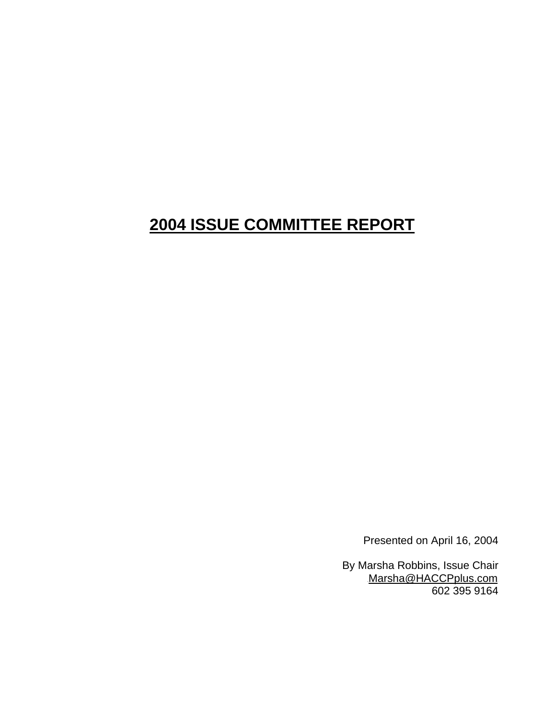# **2004 ISSUE COMMITTEE REPORT**

Presented on April 16, 2004

By Marsha Robbins, Issue Chair Marsha@HACCPplus.com 602 395 9164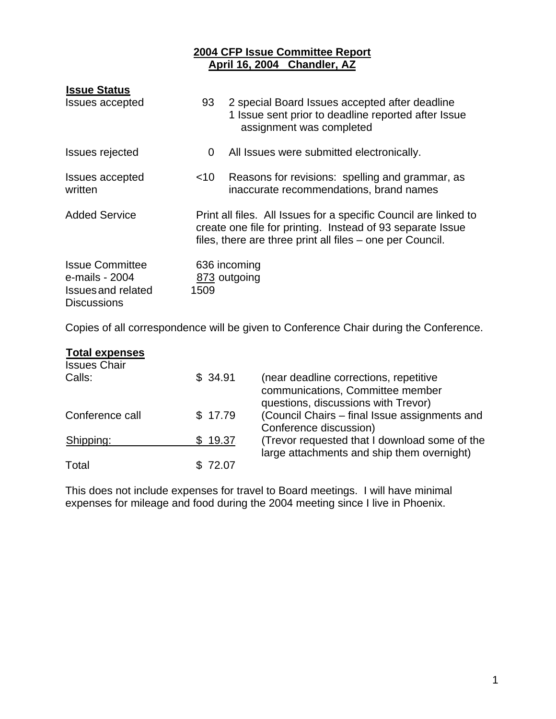# <sup>U</sup>**2004 CFP Issue Committee Report** <sup>U</sup>**April 16, 2004 Chandler, AZ**

| <b>Issue Status</b>                                                                         |        |                                                                                                                                                                                             |
|---------------------------------------------------------------------------------------------|--------|---------------------------------------------------------------------------------------------------------------------------------------------------------------------------------------------|
| <b>Issues accepted</b>                                                                      | 93     | 2 special Board Issues accepted after deadline<br>1 Issue sent prior to deadline reported after Issue<br>assignment was completed                                                           |
| <b>Issues rejected</b>                                                                      | 0      | All Issues were submitted electronically.                                                                                                                                                   |
| Issues accepted<br>written                                                                  | $<$ 10 | Reasons for revisions: spelling and grammar, as<br>inaccurate recommendations, brand names                                                                                                  |
| <b>Added Service</b>                                                                        |        | Print all files. All Issues for a specific Council are linked to<br>create one file for printing. Instead of 93 separate Issue<br>files, there are three print all files – one per Council. |
| <b>Issue Committee</b><br>e-mails - 2004<br><b>Issues and related</b><br><b>Discussions</b> | 1509   | 636 incoming<br>873 outgoing                                                                                                                                                                |

Copies of all correspondence will be given to Conference Chair during the Conference.

| <b>Total expenses</b><br><b>Issues Chair</b> |         |                                                                                                                   |
|----------------------------------------------|---------|-------------------------------------------------------------------------------------------------------------------|
| Calls:                                       | \$34.91 | (near deadline corrections, repetitive<br>communications, Committee member<br>questions, discussions with Trevor) |
| Conference call                              | \$17.79 | (Council Chairs - final Issue assignments and<br>Conference discussion)                                           |
| Shipping:                                    | \$19.37 | (Trevor requested that I download some of the<br>large attachments and ship them overnight)                       |
| Total                                        | \$72.07 |                                                                                                                   |

This does not include expenses for travel to Board meetings. I will have minimal expenses for mileage and food during the 2004 meeting since I live in Phoenix.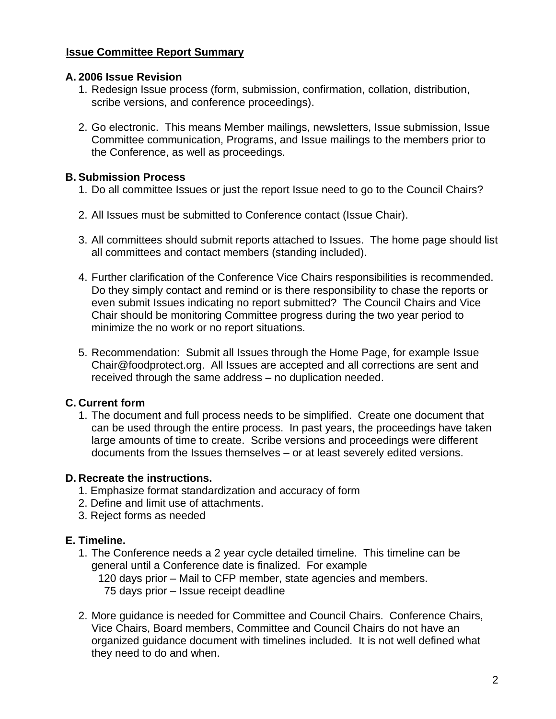# <sup>U</sup>**Issue Committee Report Summary**

#### **A. 2006 Issue Revision**

- 1. Redesign Issue process (form, submission, confirmation, collation, distribution, scribe versions, and conference proceedings).
- 2. Go electronic. This means Member mailings, newsletters, Issue submission, Issue Committee communication, Programs, and Issue mailings to the members prior to the Conference, as well as proceedings.

### **B. Submission Process**

- 1. Do all committee Issues or just the report Issue need to go to the Council Chairs?
- 2. All Issues must be submitted to Conference contact (Issue Chair).
- 3. All committees should submit reports attached to Issues. The home page should list all committees and contact members (standing included).
- 4. Further clarification of the Conference Vice Chairs responsibilities is recommended. Do they simply contact and remind or is there responsibility to chase the reports or even submit Issues indicating no report submitted? The Council Chairs and Vice Chair should be monitoring Committee progress during the two year period to minimize the no work or no report situations.
- 5. Recommendation: Submit all Issues through the Home Page, for example Issue Chair@foodprotect.org. All Issues are accepted and all corrections are sent and received through the same address – no duplication needed.

# **C. Current form**

1. The document and full process needs to be simplified. Create one document that can be used through the entire process. In past years, the proceedings have taken large amounts of time to create. Scribe versions and proceedings were different documents from the Issues themselves – or at least severely edited versions.

# **D. Recreate the instructions.**

- 1. Emphasize format standardization and accuracy of form
- 2. Define and limit use of attachments.
- 3. Reject forms as needed

# **E. Timeline.**

- 1. The Conference needs a 2 year cycle detailed timeline. This timeline can be general until a Conference date is finalized. For example 120 days prior – Mail to CFP member, state agencies and members. 75 days prior – Issue receipt deadline
- 2. More guidance is needed for Committee and Council Chairs. Conference Chairs, Vice Chairs, Board members, Committee and Council Chairs do not have an organized guidance document with timelines included. It is not well defined what they need to do and when.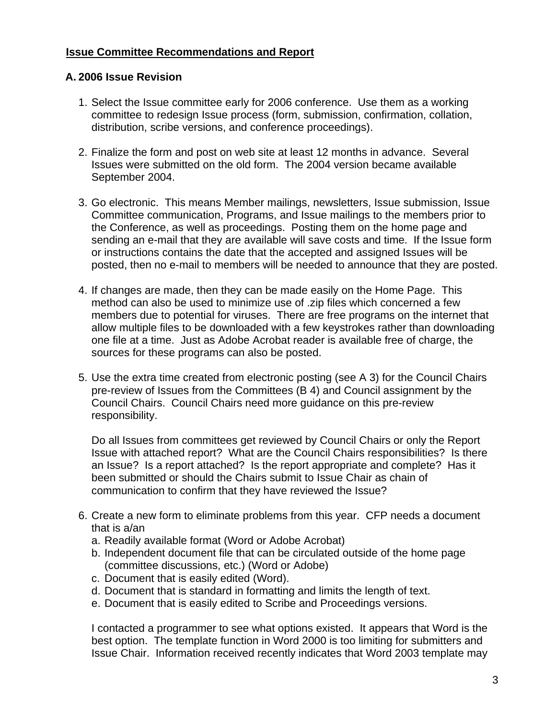# <sup>U</sup>**Issue Committee Recommendations and Report**

# **A. 2006 Issue Revision**

- 1. Select the Issue committee early for 2006 conference. Use them as a working committee to redesign Issue process (form, submission, confirmation, collation, distribution, scribe versions, and conference proceedings).
- 2. Finalize the form and post on web site at least 12 months in advance. Several Issues were submitted on the old form. The 2004 version became available September 2004.
- 3. Go electronic. This means Member mailings, newsletters, Issue submission, Issue Committee communication, Programs, and Issue mailings to the members prior to the Conference, as well as proceedings. Posting them on the home page and sending an e-mail that they are available will save costs and time. If the Issue form or instructions contains the date that the accepted and assigned Issues will be posted, then no e-mail to members will be needed to announce that they are posted.
- 4. If changes are made, then they can be made easily on the Home Page. This method can also be used to minimize use of .zip files which concerned a few members due to potential for viruses. There are free programs on the internet that allow multiple files to be downloaded with a few keystrokes rather than downloading one file at a time. Just as Adobe Acrobat reader is available free of charge, the sources for these programs can also be posted.
- 5. Use the extra time created from electronic posting (see A 3) for the Council Chairs pre-review of Issues from the Committees (B 4) and Council assignment by the Council Chairs. Council Chairs need more guidance on this pre-review responsibility.

Do all Issues from committees get reviewed by Council Chairs or only the Report Issue with attached report? What are the Council Chairs responsibilities? Is there an Issue? Is a report attached? Is the report appropriate and complete? Has it been submitted or should the Chairs submit to Issue Chair as chain of communication to confirm that they have reviewed the Issue?

- 6. Create a new form to eliminate problems from this year. CFP needs a document that is a/an
	- a. Readily available format (Word or Adobe Acrobat)
	- b. Independent document file that can be circulated outside of the home page (committee discussions, etc.) (Word or Adobe)
	- c. Document that is easily edited (Word).
	- d. Document that is standard in formatting and limits the length of text.
	- e. Document that is easily edited to Scribe and Proceedings versions.

I contacted a programmer to see what options existed. It appears that Word is the best option. The template function in Word 2000 is too limiting for submitters and Issue Chair. Information received recently indicates that Word 2003 template may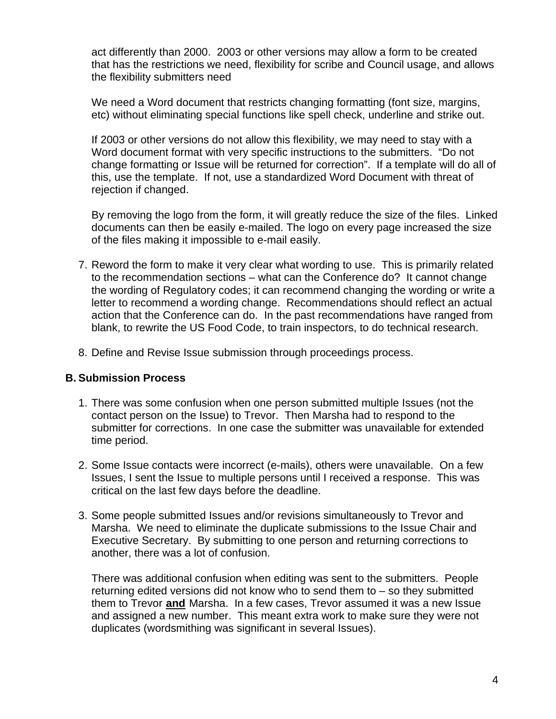act differently than 2000. 2003 or other versions may allow a form to be created that has the restrictions we need, flexibility for scribe and Council usage, and allows the flexibility submitters need

We need a Word document that restricts changing formatting (font size, margins, etc) without eliminating special functions like spell check, underline and strike out.

If 2003 or other versions do not allow this flexibility, we may need to stay with a Word document format with very specific instructions to the submitters. "Do not change formatting or Issue will be returned for correction". If a template will do all of this, use the template. If not, use a standardized Word Document with threat of rejection if changed.

By removing the logo from the form, it will greatly reduce the size of the files. Linked documents can then be easily e-mailed. The logo on every page increased the size of the files making it impossible to e-mail easily.

- 7. Reword the form to make it very clear what wording to use. This is primarily related to the recommendation sections – what can the Conference do? It cannot change the wording of Regulatory codes; it can recommend changing the wording or write a letter to recommend a wording change. Recommendations should reflect an actual action that the Conference can do. In the past recommendations have ranged from blank, to rewrite the US Food Code, to train inspectors, to do technical research.
- 8. Define and Revise Issue submission through proceedings process.

# **B. Submission Process**

- 1. There was some confusion when one person submitted multiple Issues (not the contact person on the Issue) to Trevor. Then Marsha had to respond to the submitter for corrections. In one case the submitter was unavailable for extended time period.
- 2. Some Issue contacts were incorrect (e-mails), others were unavailable. On a few Issues, I sent the Issue to multiple persons until I received a response. This was critical on the last few days before the deadline.
- 3. Some people submitted Issues and/or revisions simultaneously to Trevor and Marsha. We need to eliminate the duplicate submissions to the Issue Chair and Executive Secretary. By submitting to one person and returning corrections to another, there was a lot of confusion.

There was additional confusion when editing was sent to the submitters. People returning edited versions did not know who to send them to – so they submitted them to Trevor and Marsha. In a few cases, Trevor assumed it was a new Issue and assigned a new number. This meant extra work to make sure they were not duplicates (wordsmithing was significant in several Issues).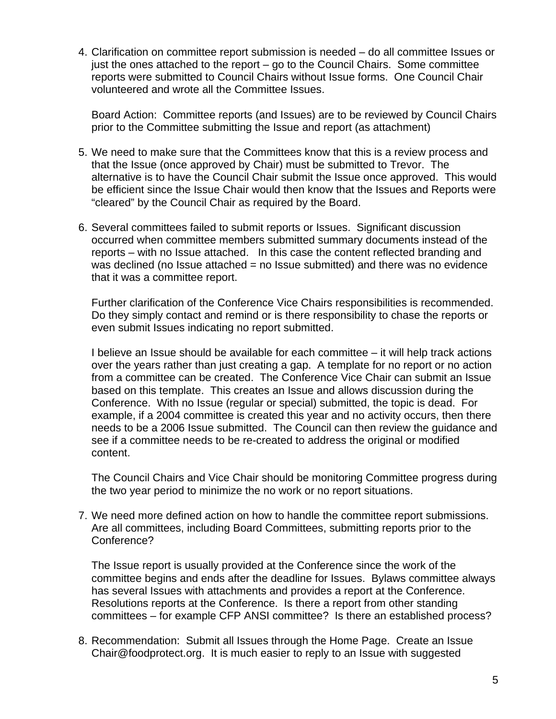4. Clarification on committee report submission is needed – do all committee Issues or just the ones attached to the report – go to the Council Chairs. Some committee reports were submitted to Council Chairs without Issue forms. One Council Chair volunteered and wrote all the Committee Issues.

Board Action: Committee reports (and Issues) are to be reviewed by Council Chairs prior to the Committee submitting the Issue and report (as attachment)

- 5. We need to make sure that the Committees know that this is a review process and that the Issue (once approved by Chair) must be submitted to Trevor. The alternative is to have the Council Chair submit the Issue once approved. This would be efficient since the Issue Chair would then know that the Issues and Reports were "cleared" by the Council Chair as required by the Board.
- 6. Several committees failed to submit reports or Issues. Significant discussion occurred when committee members submitted summary documents instead of the reports – with no Issue attached. In this case the content reflected branding and was declined (no Issue attached = no Issue submitted) and there was no evidence that it was a committee report.

Further clarification of the Conference Vice Chairs responsibilities is recommended. Do they simply contact and remind or is there responsibility to chase the reports or even submit Issues indicating no report submitted.

I believe an Issue should be available for each committee – it will help track actions over the years rather than just creating a gap. A template for no report or no action from a committee can be created. The Conference Vice Chair can submit an Issue based on this template. This creates an Issue and allows discussion during the Conference. With no Issue (regular or special) submitted, the topic is dead. For example, if a 2004 committee is created this year and no activity occurs, then there needs to be a 2006 Issue submitted. The Council can then review the guidance and see if a committee needs to be re-created to address the original or modified content.

The Council Chairs and Vice Chair should be monitoring Committee progress during the two year period to minimize the no work or no report situations.

7. We need more defined action on how to handle the committee report submissions. Are all committees, including Board Committees, submitting reports prior to the Conference?

The Issue report is usually provided at the Conference since the work of the committee begins and ends after the deadline for Issues. Bylaws committee always has several Issues with attachments and provides a report at the Conference. Resolutions reports at the Conference. Is there a report from other standing committees – for example CFP ANSI committee? Is there an established process?

8. Recommendation: Submit all Issues through the Home Page. Create an Issue Chair@foodprotect.org. It is much easier to reply to an Issue with suggested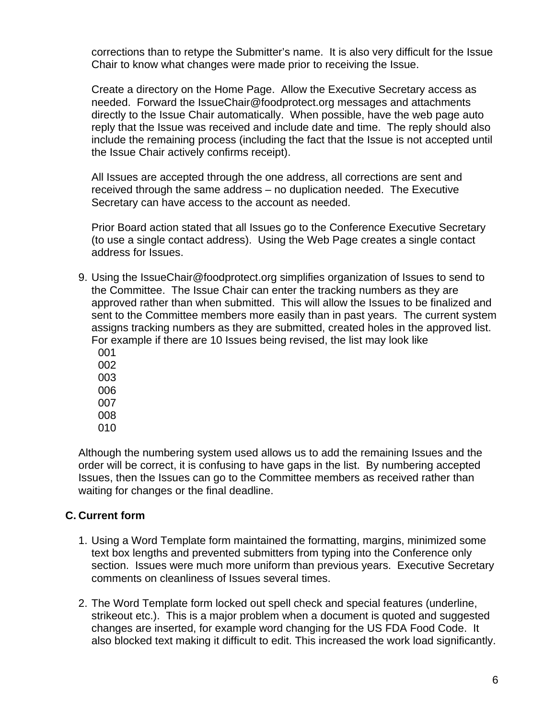corrections than to retype the Submitter's name. It is also very difficult for the Issue Chair to know what changes were made prior to receiving the Issue.

Create a directory on the Home Page. Allow the Executive Secretary access as needed. Forward the IssueChair@foodprotect.org messages and attachments directly to the Issue Chair automatically. When possible, have the web page auto reply that the Issue was received and include date and time. The reply should also include the remaining process (including the fact that the Issue is not accepted until the Issue Chair actively confirms receipt).

All Issues are accepted through the one address, all corrections are sent and received through the same address – no duplication needed. The Executive Secretary can have access to the account as needed.

Prior Board action stated that all Issues go to the Conference Executive Secretary (to use a single contact address). Using the Web Page creates a single contact address for Issues.

9. Using the IssueChair@foodprotect.org simplifies organization of Issues to send to the Committee. The Issue Chair can enter the tracking numbers as they are approved rather than when submitted. This will allow the Issues to be finalized and sent to the Committee members more easily than in past years. The current system assigns tracking numbers as they are submitted, created holes in the approved list. For example if there are 10 Issues being revised, the list may look like

010

Although the numbering system used allows us to add the remaining Issues and the order will be correct, it is confusing to have gaps in the list. By numbering accepted Issues, then the Issues can go to the Committee members as received rather than waiting for changes or the final deadline.

# **C. Current form**

- 1. Using a Word Template form maintained the formatting, margins, minimized some text box lengths and prevented submitters from typing into the Conference only section. Issues were much more uniform than previous years. Executive Secretary comments on cleanliness of Issues several times.
- 2. The Word Template form locked out spell check and special features (underline, strikeout etc.). This is a major problem when a document is quoted and suggested changes are inserted, for example word changing for the US FDA Food Code. It also blocked text making it difficult to edit. This increased the work load significantly.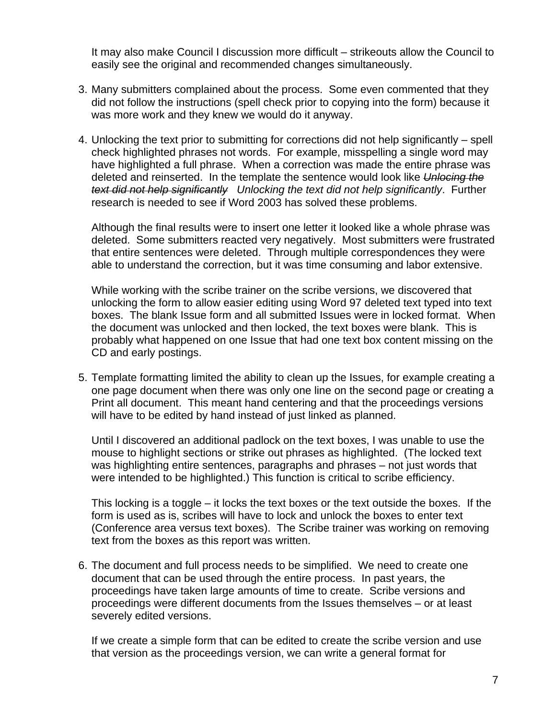It may also make Council I discussion more difficult – strikeouts allow the Council to easily see the original and recommended changes simultaneously.

- 3. Many submitters complained about the process. Some even commented that they did not follow the instructions (spell check prior to copying into the form) because it was more work and they knew we would do it anyway.
- 4. Unlocking the text prior to submitting for corrections did not help significantly spell check highlighted phrases not words. For example, misspelling a single word may have highlighted a full phrase. When a correction was made the entire phrase was deleted and reinserted. In the template the sentence would look like *Unlocing the text did not help significantly Unlocking the text did not help significantly*. Further research is needed to see if Word 2003 has solved these problems.

Although the final results were to insert one letter it looked like a whole phrase was deleted. Some submitters reacted very negatively. Most submitters were frustrated that entire sentences were deleted. Through multiple correspondences they were able to understand the correction, but it was time consuming and labor extensive.

While working with the scribe trainer on the scribe versions, we discovered that unlocking the form to allow easier editing using Word 97 deleted text typed into text boxes. The blank Issue form and all submitted Issues were in locked format. When the document was unlocked and then locked, the text boxes were blank. This is probably what happened on one Issue that had one text box content missing on the CD and early postings.

5. Template formatting limited the ability to clean up the Issues, for example creating a one page document when there was only one line on the second page or creating a Print all document. This meant hand centering and that the proceedings versions will have to be edited by hand instead of just linked as planned.

Until I discovered an additional padlock on the text boxes, I was unable to use the mouse to highlight sections or strike out phrases as highlighted. (The locked text was highlighting entire sentences, paragraphs and phrases – not just words that were intended to be highlighted.) This function is critical to scribe efficiency.

This locking is a toggle – it locks the text boxes or the text outside the boxes. If the form is used as is, scribes will have to lock and unlock the boxes to enter text (Conference area versus text boxes). The Scribe trainer was working on removing text from the boxes as this report was written.

6. The document and full process needs to be simplified. We need to create one document that can be used through the entire process. In past years, the proceedings have taken large amounts of time to create. Scribe versions and proceedings were different documents from the Issues themselves – or at least severely edited versions.

If we create a simple form that can be edited to create the scribe version and use that version as the proceedings version, we can write a general format for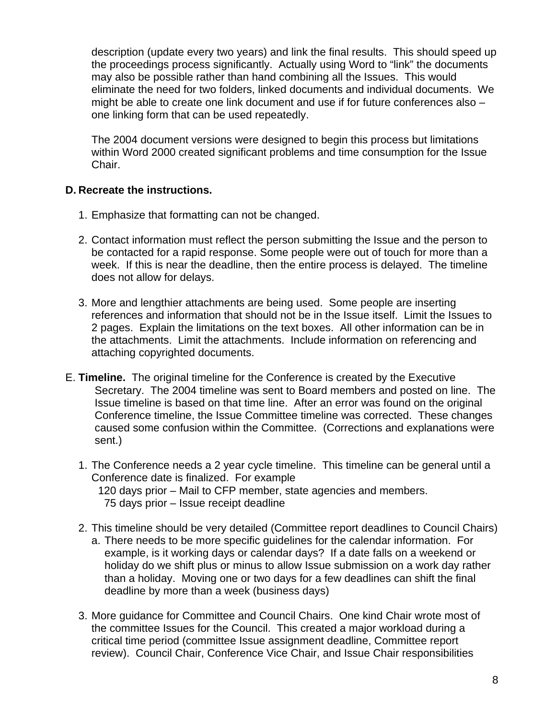description (update every two years) and link the final results. This should speed up the proceedings process significantly. Actually using Word to "link" the documents may also be possible rather than hand combining all the Issues. This would eliminate the need for two folders, linked documents and individual documents. We might be able to create one link document and use if for future conferences also – one linking form that can be used repeatedly.

The 2004 document versions were designed to begin this process but limitations within Word 2000 created significant problems and time consumption for the Issue Chair.

# **D. Recreate the instructions.**

- 1. Emphasize that formatting can not be changed.
- 2. Contact information must reflect the person submitting the Issue and the person to be contacted for a rapid response. Some people were out of touch for more than a week. If this is near the deadline, then the entire process is delayed. The timeline does not allow for delays.
- 3. More and lengthier attachments are being used. Some people are inserting references and information that should not be in the Issue itself. Limit the Issues to 2 pages. Explain the limitations on the text boxes. All other information can be in the attachments. Limit the attachments. Include information on referencing and attaching copyrighted documents.
- E. **Timeline.** The original timeline for the Conference is created by the Executive Secretary. The 2004 timeline was sent to Board members and posted on line. The Issue timeline is based on that time line. After an error was found on the original Conference timeline, the Issue Committee timeline was corrected. These changes caused some confusion within the Committee. (Corrections and explanations were sent.)
	- 1. The Conference needs a 2 year cycle timeline. This timeline can be general until a Conference date is finalized. For example 120 days prior – Mail to CFP member, state agencies and members. 75 days prior – Issue receipt deadline
	- 2. This timeline should be very detailed (Committee report deadlines to Council Chairs) a. There needs to be more specific guidelines for the calendar information. For example, is it working days or calendar days? If a date falls on a weekend or holiday do we shift plus or minus to allow Issue submission on a work day rather than a holiday. Moving one or two days for a few deadlines can shift the final deadline by more than a week (business days)
	- 3. More guidance for Committee and Council Chairs. One kind Chair wrote most of the committee Issues for the Council. This created a major workload during a critical time period (committee Issue assignment deadline, Committee report review). Council Chair, Conference Vice Chair, and Issue Chair responsibilities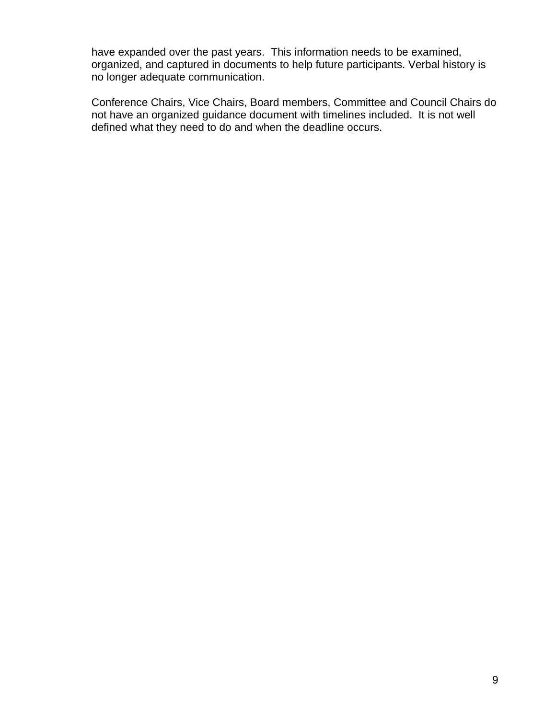have expanded over the past years. This information needs to be examined, organized, and captured in documents to help future participants. Verbal history is no longer adequate communication.

Conference Chairs, Vice Chairs, Board members, Committee and Council Chairs do not have an organized guidance document with timelines included. It is not well defined what they need to do and when the deadline occurs.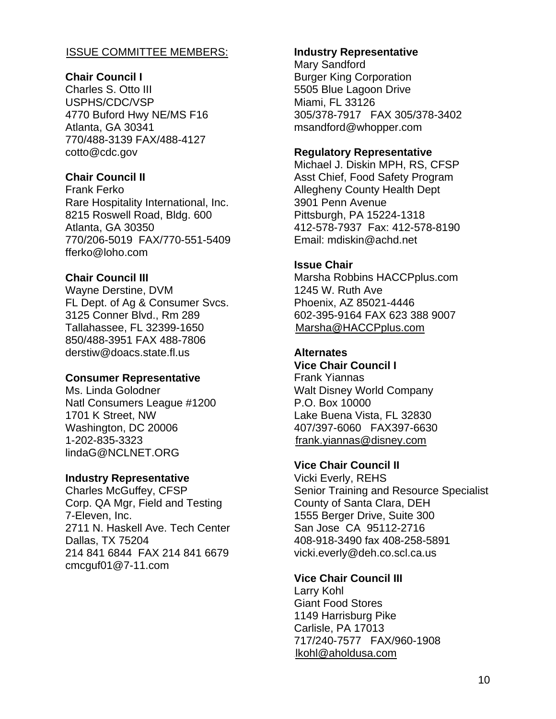### **ISSUE COMMITTEE MEMBERS:**

#### **Chair Council I**

Charles S. Otto III USPHS/CDC/VSP 4770 Buford Hwy NE/MS F16 Atlanta, GA 30341 770/488-3139 FAX/488-4127 cotto@cdc.gov

#### **Chair Council II**

Frank Ferko Rare Hospitality International, Inc. 8215 Roswell Road, Bldg. 600 Atlanta, GA 30350 770/206-5019 FAX/770-551-5409 fferko@loho.com

#### **Chair Council III**

Wayne Derstine, DVM FL Dept. of Ag & Consumer Svcs. 3125 Conner Blvd., Rm 289 Tallahassee, FL 32399-1650 850/488-3951 FAX 488-7806 derstiw@doacs.state.fl.us

#### **Consumer Representative**

Ms. Linda Golodner Natl Consumers League #1200 1701 K Street, NW Washington, DC 20006 1-202-835-3323 lindaG@NCLNET.ORG

#### **Industry Representative**

Charles McGuffey, CFSP Corp. QA Mgr, Field and Testing 7-Eleven, Inc. 2711 N. Haskell Ave. Tech Center Dallas, TX 75204 214 841 6844 FAX 214 841 6679 cmcguf01@7-11.com

#### **Industry Representative**

Mary Sandford Burger King Corporation 5505 Blue Lagoon Drive Miami, FL 33126 305/378-7917 FAX 305/378-3402 msandford@whopper.com

#### **Regulatory Representative**

Michael J. Diskin MPH, RS, CFSP Asst Chief, Food Safety Program Allegheny County Health Dept 3901 Penn Avenue Pittsburgh, PA 15224-1318 412-578-7937 Fax: 412-578-8190 Email: mdiskin@achd.net

#### **Issue Chair**

Marsha Robbins HACCPplus.com 1245 W. Ruth Ave Phoenix, AZ 85021-4446 602-395-9164 FAX 623 388 9007  $Marsha@HACCP$ plus.com

# **Alternates**

**Vice Chair Council I**  Frank Yiannas Walt Disney World Company P.O. Box 10000 Lake Buena Vista, FL 32830 407/397-6060 FAX397-6630 frank.yiannas@disney.com

# **Vice Chair Council II**

Vicki Everly, REHS Senior Training and Resource Specialist County of Santa Clara, DEH 1555 Berger Drive, Suite 300 San Jose CA 95112-2716 408-918-3490 fax 408-258-5891 vicki.everly@deh.co.scl.ca.us

# **Vice Chair Council III**

Larry Kohl Giant Food Stores 1149 Harrisburg Pike Carlisle, PA 17013 717/240-7577 FAX/960-1908  $I$ kohl@aholdusa.com